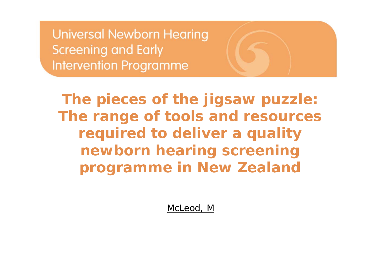**The pieces of the jigsaw puzzle: The range of tools and resources required to deliver a quality newborn hearing screening programme in New Zealand**

McLeod, M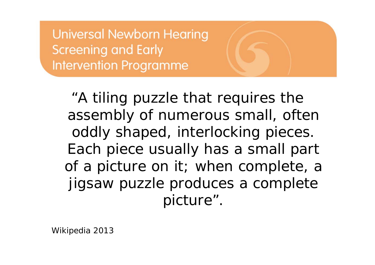"A *tiling puzzle that requires the assembly of numerous small, often oddly shaped, interlocking pieces. Each piece usually has a small part of a picture on it; when complete, a jigsaw puzzle produces a complete picture*".

Wikipedia 2013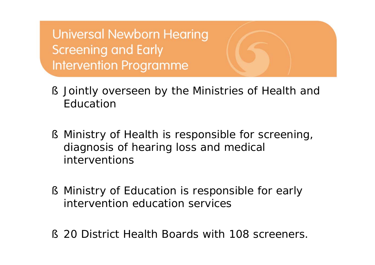- § Jointly overseen by the Ministries of Health and Education
- § Ministry of Health is responsible for screening, diagnosis of hearing loss and medical interventions
- § Ministry of Education is responsible for early intervention education services
- § 20 District Health Boards with 108 screeners.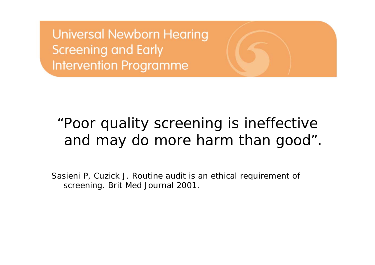# *"Poor quality screening is ineffective and may do more harm than good".*

Sasieni P, Cuzick J. Routine audit is an ethical requirement of screening. *Brit Med Journal 2001.*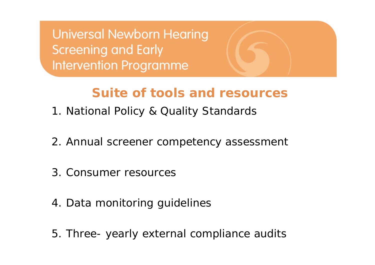# **Suite of tools and resources**

- 1. National Policy & Quality Standards
- 2. Annual screener competency assessment
- 3. Consumer resources
- 4. Data monitoring guidelines
- 5. Three- yearly external compliance audits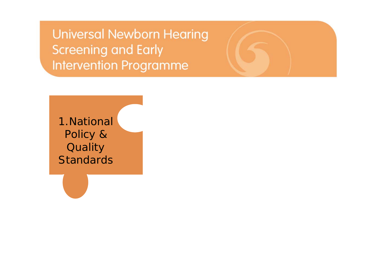1.National Policy & **Quality Standards**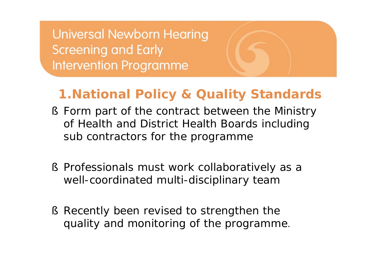## **1.National Policy & Quality Standards**

- § Form part of the contract between the Ministry of Health and District Health Boards including sub contractors for the programme
- § Professionals must work collaboratively as a well-coordinated multi-disciplinary team
- § Recently been revised to strengthen the quality and monitoring of the programme.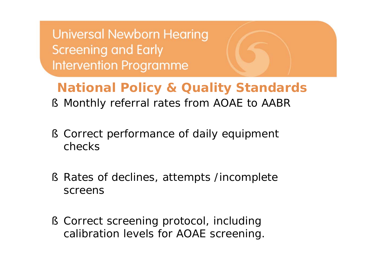**National Policy & Quality Standards**

- § Monthly referral rates from AOAE to AABR
- § Correct performance of daily equipment checks
- § Rates of declines, attempts /incomplete screens
- § Correct screening protocol, including calibration levels for AOAE screening.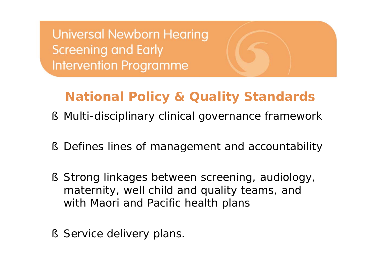# **National Policy & Quality Standards**

- § Multi-disciplinary clinical governance framework
- § Defines lines of management and accountability
- § Strong linkages between screening, audiology, maternity, well child and quality teams, and with Maori and Pacific health plans
- § Service delivery plans.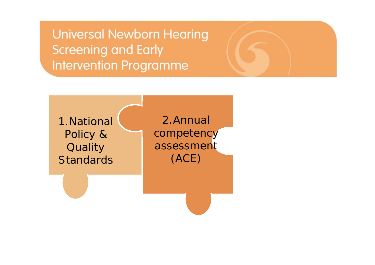1.National Policy & **Quality Standards** 

2.Annual competency assessment (ACE)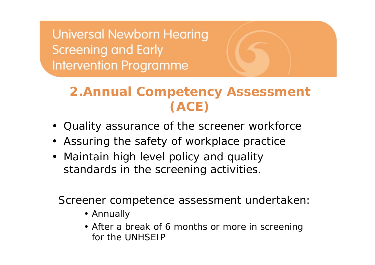# **2.Annual Competency Assessment (ACE)**

- Quality assurance of the screener workforce
- Assuring the safety of workplace practice
- Maintain high level policy and quality standards in the screening activities.

Screener competence assessment undertaken:

- Annually
- After a break of 6 months or more in screening for the UNHSEIP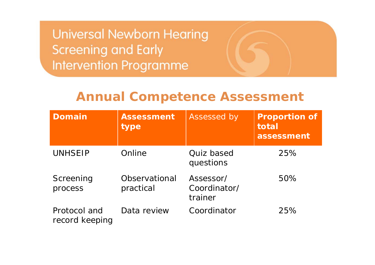#### **Annual Competence Assessment**

| Domain                         | Assessment<br>type         | Assessed by                          | <b>Proportion of</b><br>total<br>assessment |
|--------------------------------|----------------------------|--------------------------------------|---------------------------------------------|
| <b>UNHSEIP</b>                 | Online                     | Quiz based<br>questions              | 25%                                         |
| Screening<br>process           | Observational<br>practical | Assessor/<br>Coordinator/<br>trainer | 50%                                         |
| Protocol and<br>record keeping | Data review                | Coordinator                          | 25%                                         |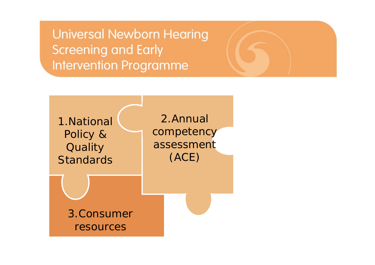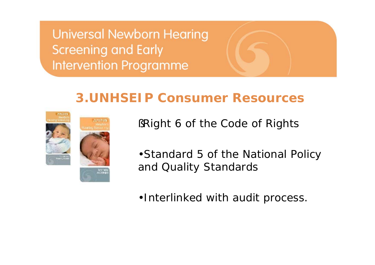### **3.UNHSEIP Consumer Resources**





§Right 6 of the Code of Rights

•Standard 5 of the National Policy and Quality Standards

•Interlinked with audit process.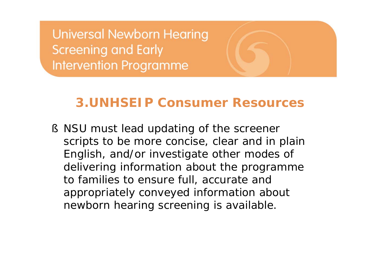### **3.UNHSEIP Consumer Resources**

§ NSU must lead updating of the screener scripts to be more concise, clear and in plain English, and/or investigate other modes of delivering information about the programme to families to ensure full, accurate and appropriately conveyed information about newborn hearing screening is available.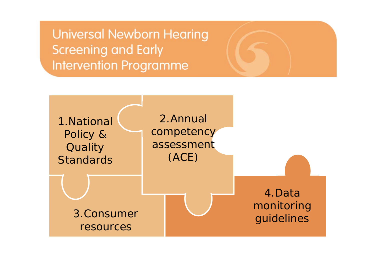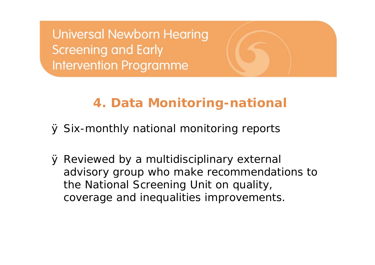## **4. Data Monitoring-national**

Ø Six-monthly national monitoring reports

Ø Reviewed by a multidisciplinary external advisory group who make recommendations to the National Screening Unit on quality, coverage and inequalities improvements.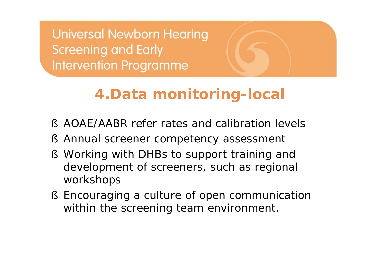# **4.Data monitoring-local**

- § AOAE/AABR refer rates and calibration levels
- § Annual screener competency assessment
- § Working with DHBs to support training and development of screeners, such as regional workshops
- § Encouraging a culture of open communication within the screening team environment.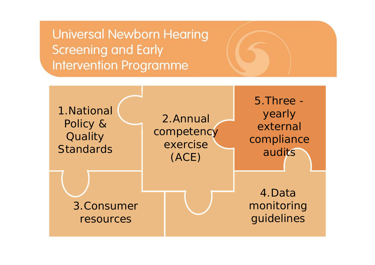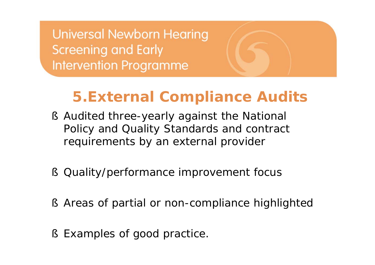# **5.External Compliance Audits**

- § Audited three-yearly against the National Policy and Quality Standards and contract requirements by an external provider
- § Quality/performance improvement focus
- § Areas of partial or non-compliance highlighted
- § Examples of good practice.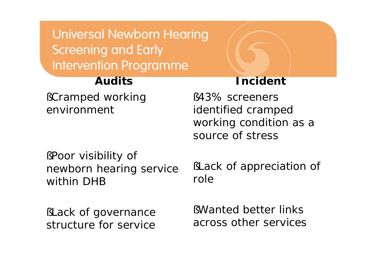#### **Audits**

§Cramped working environment

#### **Incident**

§43% screeners identified cramped working condition as a source of stress

§Poor visibility of newborn hearing service within DHB

§Lack of governance structure for service

§Lack of appreciation of role

§Wanted better links across other services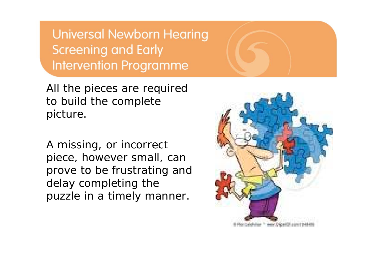All the pieces are required to build the complete picture.

A missing, or incorrect piece, however small, can prove to be frustrating and delay completing the puzzle in a timely manner.

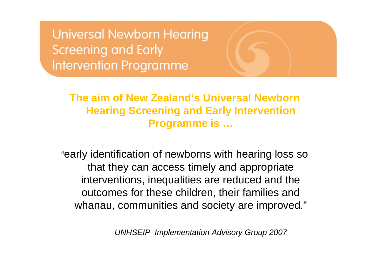> **The aim of New Zealand's Universal Newborn Hearing Screening and Early Intervention Programme is …**

"early identification of newborns with hearing loss so that they can access timely and appropriate interventions, inequalities are reduced and the outcomes for these children, their families and whanau, communities and society are improved."

*UNHSEIP Implementation Advisory Group 2007*